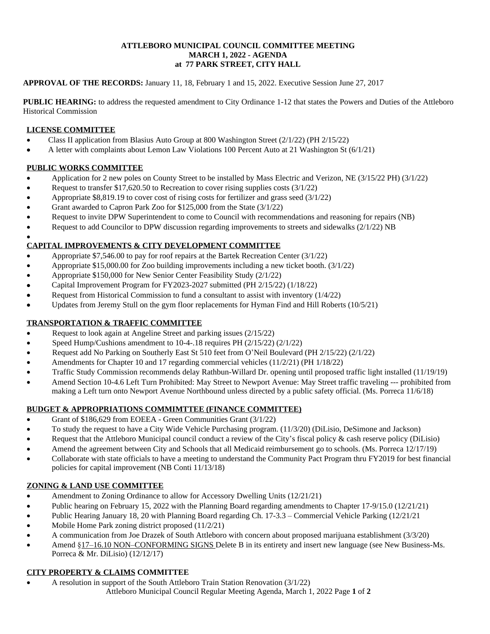## **ATTLEBORO MUNICIPAL COUNCIL COMMITTEE MEETING MARCH 1, 2022 - AGENDA at 77 PARK STREET, CITY HALL**

## **APPROVAL OF THE RECORDS:** January 11, 18, February 1 and 15, 2022. Executive Session June 27, 2017

**PUBLIC HEARING:** to address the requested amendment to City Ordinance 1-12 that states the Powers and Duties of the Attleboro Historical Commission

# **LICENSE COMMITTEE**

- Class II application from Blasius Auto Group at 800 Washington Street (2/1/22) (PH 2/15/22)
- A letter with complaints about Lemon Law Violations 100 Percent Auto at 21 Washington St (6/1/21)

# **PUBLIC WORKS COMMITTEE**

- Application for 2 new poles on County Street to be installed by Mass Electric and Verizon, NE (3/15/22 PH) (3/1/22)
- Request to transfer \$17,620.50 to Recreation to cover rising supplies costs (3/1/22)
- Appropriate \$8,819.19 to cover cost of rising costs for fertilizer and grass seed (3/1/22)
- Grant awarded to Capron Park Zoo for \$125,000 from the State (3/1/22)
- Request to invite DPW Superintendent to come to Council with recommendations and reasoning for repairs (NB)
- Request to add Councilor to DPW discussion regarding improvements to streets and sidewalks (2/1/22) NB

#### $\bullet$ **CAPITAL IMPROVEMENTS & CITY DEVELOPMENT COMMITTEE**

- Appropriate \$7,546.00 to pay for roof repairs at the Bartek Recreation Center (3/1/22)
- Appropriate \$15,000.00 for Zoo building improvements including a new ticket booth. (3/1/22)
- Appropriate \$150,000 for New Senior Center Feasibility Study (2/1/22)
- Capital Improvement Program for FY2023-2027 submitted (PH 2/15/22) (1/18/22)
- Request from Historical Commission to fund a consultant to assist with inventory (1/4/22)
- Updates from Jeremy Stull on the gym floor replacements for Hyman Find and Hill Roberts (10/5/21)

# **TRANSPORTATION & TRAFFIC COMMITTEE**

- Request to look again at Angeline Street and parking issues (2/15/22)
- Speed Hump/Cushions amendment to 10-4-.18 requires PH (2/15/22) (2/1/22)
- Request add No Parking on Southerly East St 510 feet from O'Neil Boulevard (PH 2/15/22) (2/1/22)
- Amendments for Chapter 10 and 17 regarding commercial vehicles (11/2/21) (PH 1/18/22)
- Traffic Study Commission recommends delay Rathbun-Willard Dr. opening until proposed traffic light installed (11/19/19)
- Amend Section 10-4.6 Left Turn Prohibited: May Street to Newport Avenue: May Street traffic traveling --- prohibited from making a Left turn onto Newport Avenue Northbound unless directed by a public safety official. (Ms. Porreca 11/6/18)

# **BUDGET & APPROPRIATIONS COMMIMTTEE (FINANCE COMMITTEE)**

- Grant of \$186,629 from EOEEA Green Communities Grant (3/1/22)
- To study the request to have a City Wide Vehicle Purchasing program. (11/3/20) (DiLisio, DeSimone and Jackson)
- Request that the Attleboro Municipal council conduct a review of the City's fiscal policy & cash reserve policy (DiLisio)
- Amend the agreement between City and Schools that all Medicaid reimbursement go to schools. (Ms. Porreca 12/17/19)
- Collaborate with state officials to have a meeting to understand the Community Pact Program thru FY2019 for best financial policies for capital improvement (NB Conti 11/13/18)

# **ZONING & LAND USE COMMITTEE**

- Amendment to Zoning Ordinance to allow for Accessory Dwelling Units (12/21/21)
- Public hearing on February 15, 2022 with the Planning Board regarding amendments to Chapter 17-9/15.0 (12/21/21)
- Public Hearing January 18, 20 with Planning Board regarding Ch. 17-3.3 Commercial Vehicle Parking (12/21/21
- Mobile Home Park zoning district proposed (11/2/21)
- A communication from Joe Drazek of South Attleboro with concern about proposed marijuana establishment (3/3/20)
- Amend §17–16.10 NON–CONFORMING SIGNS Delete B in its entirety and insert new language (see New Business-Ms. Porreca & Mr. DiLisio) (12/12/17)

# **CITY PROPERTY & CLAIMS COMMITTEE**

- A resolution in support of the South Attleboro Train Station Renovation (3/1/22)
	- Attleboro Municipal Council Regular Meeting Agenda, March 1, 2022 Page **1** of **2**